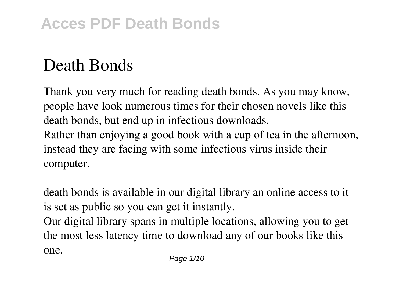## **Death Bonds**

Thank you very much for reading **death bonds**. As you may know, people have look numerous times for their chosen novels like this death bonds, but end up in infectious downloads. Rather than enjoying a good book with a cup of tea in the afternoon, instead they are facing with some infectious virus inside their computer.

death bonds is available in our digital library an online access to it is set as public so you can get it instantly.

Our digital library spans in multiple locations, allowing you to get the most less latency time to download any of our books like this one.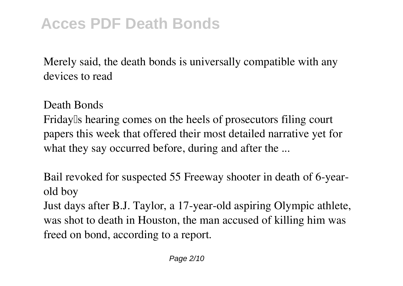Merely said, the death bonds is universally compatible with any devices to read

Death Bonds

Friday<sup>lls</sup> hearing comes on the heels of prosecutors filing court papers this week that offered their most detailed narrative yet for what they say occurred before, during and after the ...

Bail revoked for suspected 55 Freeway shooter in death of 6-yearold boy

Just days after B.J. Taylor, a 17-year-old aspiring Olympic athlete, was shot to death in Houston, the man accused of killing him was freed on bond, according to a report.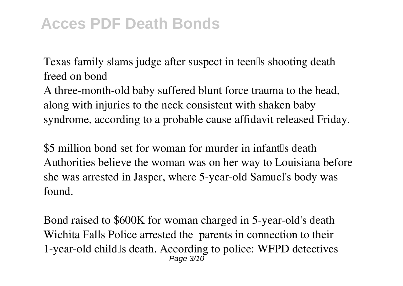## **Acces PDF Death Bonds**

Texas family slams judge after suspect in teen's shooting death freed on bond

A three-month-old baby suffered blunt force trauma to the head, along with injuries to the neck consistent with shaken baby syndrome, according to a probable cause affidavit released Friday.

\$5 million bond set for woman for murder in infant<sup>[1]</sup>s death Authorities believe the woman was on her way to Louisiana before she was arrested in Jasper, where 5-year-old Samuel's body was found.

Bond raised to \$600K for woman charged in 5-year-old's death Wichita Falls Police arrested the parents in connection to their 1-year-old child's death. According to police: WFPD detectives Page 3/10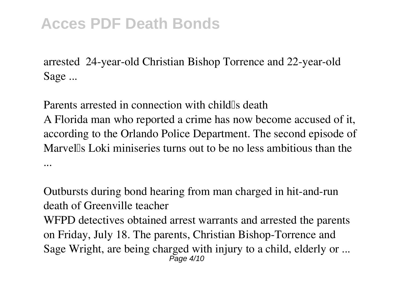## **Acces PDF Death Bonds**

arrested 24-year-old Christian Bishop Torrence and 22-year-old Sage ...

Parents arrested in connection with child<sup>lls</sup> death A Florida man who reported a crime has now become accused of it, according to the Orlando Police Department. The second episode of Marvel's Loki miniseries turns out to be no less ambitious than the ...

Outbursts during bond hearing from man charged in hit-and-run death of Greenville teacher WFPD detectives obtained arrest warrants and arrested the parents on Friday, July 18. The parents, Christian Bishop-Torrence and Sage Wright, are being charged with injury to a child, elderly or ...  $P$ age  $4/10$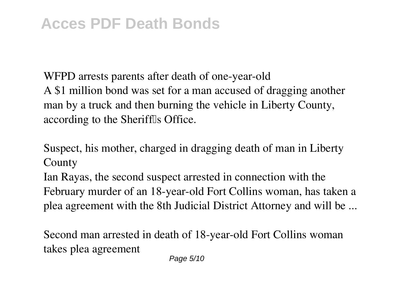WFPD arrests parents after death of one-year-old A \$1 million bond was set for a man accused of dragging another man by a truck and then burning the vehicle in Liberty County, according to the Sherifflls Office.

Suspect, his mother, charged in dragging death of man in Liberty County

Ian Rayas, the second suspect arrested in connection with the February murder of an 18-year-old Fort Collins woman, has taken a plea agreement with the 8th Judicial District Attorney and will be ...

Second man arrested in death of 18-year-old Fort Collins woman takes plea agreement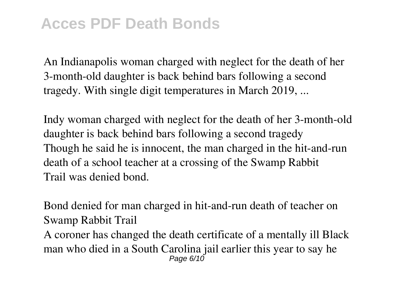An Indianapolis woman charged with neglect for the death of her 3-month-old daughter is back behind bars following a second tragedy. With single digit temperatures in March 2019, ...

Indy woman charged with neglect for the death of her 3-month-old daughter is back behind bars following a second tragedy Though he said he is innocent, the man charged in the hit-and-run death of a school teacher at a crossing of the Swamp Rabbit Trail was denied bond.

Bond denied for man charged in hit-and-run death of teacher on Swamp Rabbit Trail A coroner has changed the death certificate of a mentally ill Black man who died in a South Carolina jail earlier this year to say he Page 6/10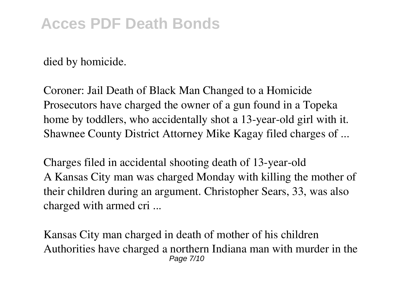## **Acces PDF Death Bonds**

died by homicide.

Coroner: Jail Death of Black Man Changed to a Homicide Prosecutors have charged the owner of a gun found in a Topeka home by toddlers, who accidentally shot a 13-year-old girl with it. Shawnee County District Attorney Mike Kagay filed charges of ...

Charges filed in accidental shooting death of 13-year-old A Kansas City man was charged Monday with killing the mother of their children during an argument. Christopher Sears, 33, was also charged with armed cri ...

Kansas City man charged in death of mother of his children Authorities have charged a northern Indiana man with murder in the Page 7/10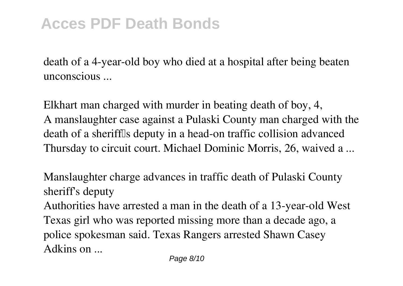death of a 4-year-old boy who died at a hospital after being beaten unconscious ...

Elkhart man charged with murder in beating death of boy, 4, A manslaughter case against a Pulaski County man charged with the death of a sheriffls deputy in a head-on traffic collision advanced Thursday to circuit court. Michael Dominic Morris, 26, waived a ...

Manslaughter charge advances in traffic death of Pulaski County sheriff's deputy

Authorities have arrested a man in the death of a 13-year-old West Texas girl who was reported missing more than a decade ago, a police spokesman said. Texas Rangers arrested Shawn Casey Adkins on ...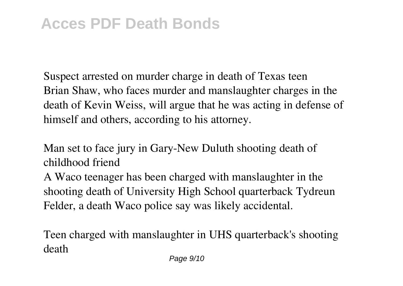Suspect arrested on murder charge in death of Texas teen Brian Shaw, who faces murder and manslaughter charges in the death of Kevin Weiss, will argue that he was acting in defense of himself and others, according to his attorney.

Man set to face jury in Gary-New Duluth shooting death of childhood friend

A Waco teenager has been charged with manslaughter in the shooting death of University High School quarterback Tydreun Felder, a death Waco police say was likely accidental.

Teen charged with manslaughter in UHS quarterback's shooting death